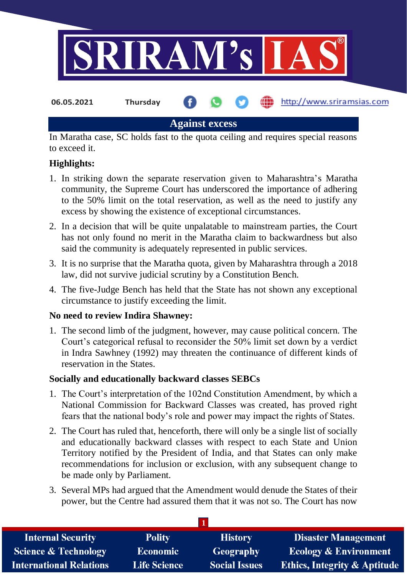

**Against excess**

In Maratha case, SC holds fast to the quota ceiling and requires special reasons to exceed it.

## **Highlights:**

- 1. In striking down the separate reservation given to Maharashtra's Maratha community, the Supreme Court has underscored the importance of adhering to the 50% limit on the total reservation, as well as the need to justify any excess by showing the existence of exceptional circumstances.
- 2. In a decision that will be quite unpalatable to mainstream parties, the Court has not only found no merit in the Maratha claim to backwardness but also said the community is adequately represented in public services.
- 3. It is no surprise that the Maratha quota, given by Maharashtra through a 2018 law, did not survive judicial scrutiny by a Constitution Bench.
- 4. The five-Judge Bench has held that the State has not shown any exceptional circumstance to justify exceeding the limit.

## **No need to review Indira Shawney:**

1. The second limb of the judgment, however, may cause political concern. The Court's categorical refusal to reconsider the 50% limit set down by a verdict in Indra Sawhney (1992) may threaten the continuance of different kinds of reservation in the States.

## **Socially and educationally backward classes SEBCs**

- 1. The Court's interpretation of the 102nd Constitution Amendment, by which a National Commission for Backward Classes was created, has proved right fears that the national body's role and power may impact the rights of States.
- 2. The Court has ruled that, henceforth, there will only be a single list of socially and educationally backward classes with respect to each State and Union Territory notified by the President of India, and that States can only make recommendations for inclusion or exclusion, with any subsequent change to be made only by Parliament.
- 3. Several MPs had argued that the Amendment would denude the States of their power, but the Centre had assured them that it was not so. The Court has now

| <b>Internal Security</b>        | <b>Polity</b>       | <b>History</b>       | <b>Disaster Management</b>              |  |
|---------------------------------|---------------------|----------------------|-----------------------------------------|--|
| <b>Science &amp; Technology</b> | <b>Economic</b>     | <b>Geography</b>     | <b>Ecology &amp; Environment</b>        |  |
| <b>International Relations</b>  | <b>Life Science</b> | <b>Social Issues</b> | <b>Ethics, Integrity &amp; Aptitude</b> |  |